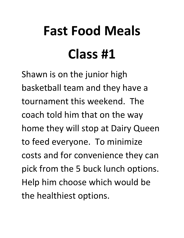# **Fast Food Meals Class #1**

Shawn is on the junior high basketball team and they have a tournament this weekend. The coach told him that on the way home they will stop at Dairy Queen to feed everyone. To minimize costs and for convenience they can pick from the 5 buck lunch options. Help him choose which would be the healthiest options.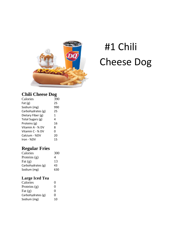

### C hee se Dog#1 C hili

### **Chili C Cheese D Dog**

| Calories          | 390 |
|-------------------|-----|
| Fat $(g)$         | 25  |
| Sodium (mg)       | 990 |
| Carbohydrates (g) | 25  |
| Dietary Fiber (g) | 1   |
| Total Sugars (g)  | 4   |
| Proteins (g)      | 16  |
| Vitamin A - % DV  | 8   |
| Vitamin C - % DV  | 0   |
| Calcium - %DV     | 20  |
| Iron - %DV        | 15  |

### **Regula ar Fries**

| Calories          | 300 |
|-------------------|-----|
| Proteins $(g)$    | 4   |
| Fat $(g)$         | 13  |
| Carbohydrates (g) | 43  |
| Sodium (mg)       | 630 |

#### **Large I Iced Tea**

| Calories          | $\mathbf{\Omega}$ |
|-------------------|-------------------|
| Proteins $(g)$    | 0                 |
| Fat $(g)$         | 0                 |
| Carbohydrates (g) | ი                 |
| Sodium (mg)       | 10                |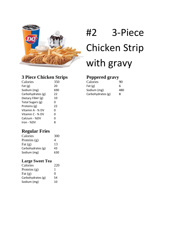

### #2 3‐ Piec ce Chicken Strip with gravy

### **3 Piece e Chicke n Strips**

| Calories          | 350 |
|-------------------|-----|
| Fat $(g)$         | 20  |
| Sodium (mg)       | 690 |
| Carbohydrates (g) | 22  |
| Dietary Fiber (g) | 10  |
| Total Sugars (g)  | O   |
| Proteins (g)      | 22  |
| Vitamin A - % DV  | ი   |
| Vitamin C - % DV  | 0   |
| Calcium - %DV     | ი   |
| Iron - %DV        | 8   |

| <b>Peppered gravy</b> |    |
|-----------------------|----|
| Calories              | 90 |

| <u>Cardinal</u>   | .   |
|-------------------|-----|
| Fat $(g)$         | 6   |
| Sodium (mg)       | 480 |
| Carbohydrates (g) | 8   |

### **Regula ar Fries**

| Calories          | 300 |
|-------------------|-----|
| Proteins $(g)$    | 4   |
| Fat $(g)$         | 13  |
| Carbohydrates (g) | 43  |
| Sodium (mg)       | 630 |

#### **Large S Sweet Tea a**

| Calories          | 220 |
|-------------------|-----|
| Proteins $(g)$    | ı   |
| Fat $(g)$         | 0   |
| Carbohydrates (g) | 54  |
| Sodium (mg)       | 10  |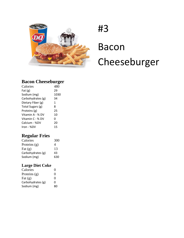

## # 3 B Bacon C Cheeseburger

### **Bacon Cheeseb burger**

| Calories          | 480  |
|-------------------|------|
| Fat $(g)$         | 29   |
| Sodium (mg)       | 1030 |
| Carbohydrates (g) | 34   |
| Dietary Fiber (g) | 1    |
| Total Sugars (g)  | 8    |
| Proteins (g)      | 25   |
| Vitamin A - % DV  | 10   |
| Vitamin C - % DV  | 0    |
| Calcium - %DV     | 20   |
| Iron - %DV        | 15   |

### **Regula ar Fries**

| Calories          | 300 |
|-------------------|-----|
| Proteins $(g)$    | 4   |
| Fat $(g)$         | 13  |
| Carbohydrates (g) | 43  |
| Sodium (mg)       | 630 |

#### **Large D Diet Coke**

| Calories          | 0  |
|-------------------|----|
| Proteins $(g)$    | 0  |
| Fat $(g)$         | 0  |
| Carbohydrates (g) | O  |
| Sodium (mg)       | 80 |